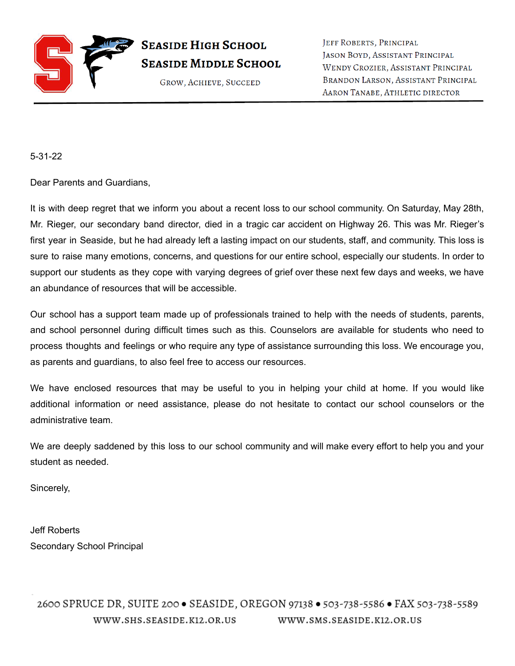

JEFF ROBERTS, PRINCIPAL JASON BOYD, ASSISTANT PRINCIPAL WENDY CROZIER, ASSISTANT PRINCIPAL BRANDON LARSON, ASSISTANT PRINCIPAL AARON TANABE, ATHLETIC DIRECTOR

5-31-22

Dear Parents and Guardians,

It is with deep regret that we inform you about a recent loss to our school community. On Saturday, May 28th, Mr. Rieger, our secondary band director, died in a tragic car accident on Highway 26. This was Mr. Rieger's first year in Seaside, but he had already left a lasting impact on our students, staff, and community. This loss is sure to raise many emotions, concerns, and questions for our entire school, especially our students. In order to support our students as they cope with varying degrees of grief over these next few days and weeks, we have an abundance of resources that will be accessible.

Our school has a support team made up of professionals trained to help with the needs of students, parents, and school personnel during difficult times such as this. Counselors are available for students who need to process thoughts and feelings or who require any type of assistance surrounding this loss. We encourage you, as parents and guardians, to also feel free to access our resources.

We have enclosed resources that may be useful to you in helping your child at home. If you would like additional information or need assistance, please do not hesitate to contact our school counselors or the administrative team.

We are deeply saddened by this loss to our school community and will make every effort to help you and your student as needed.

Sincerely,

Jeff Roberts Secondary School Principal

2600 SPRUCE DR, SUITE 200 · SEASIDE, OREGON 97138 · 503-738-5586 · FAX 503-738-5589 WWW.SHS.SEASIDE.K12.OR.US WWW.SMS.SEASIDE.K12.OR.US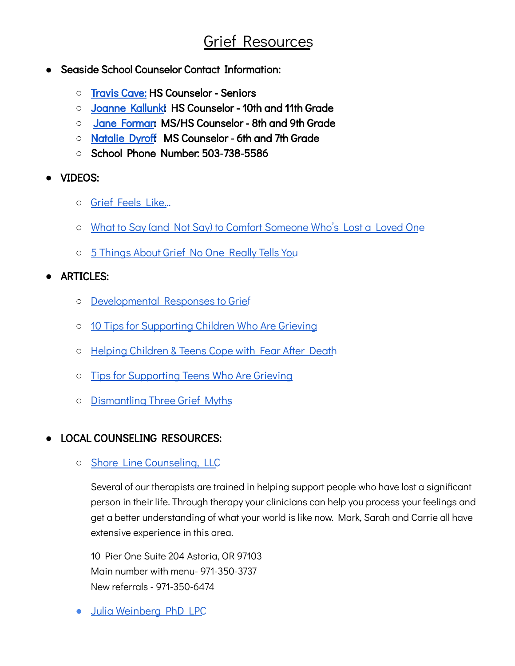# Grief Resources

- Seaside School Counselor Contact Information:
	- **○** [Travis](mailto:tcave@seasidek12.org) Cave: HS Counselor Seniors
	- **○** [Joanne](mailto:jkallunki@seasidek12.org) Kallunki: HS Counselor 10th and 11th Grade
	- **○** Jane [Forman:](mailto:jforman@seasidek12.org) MS/HS Counselor 8th and 9th Grade
	- **○** [Natalie](mailto:ndyroff@seasidek12.org) Dyroff: MS Counselor 6th and 7th Grade
	- **○** School Phone Number: 503-738-5586
- VIDEOS:
	- Grief [Feels](https://www.youtube.com/watch?v=amCx1IGcm4Q) Like…
	- What to Say (and Not Say) to Comfort [Someone](https://youtu.be/BvkEHK-WD8s) Who's Lost a Loved One
	- 5 [Things](https://youtu.be/8pT6LQ-mZ3k) About Grief No One Really Tells You

## **●** ARTICLES:

- [Developmental](https://www.dougy.org/assets/uploads/Developmental-Responses-to-Grief-ages-2-18.pdf) Responses to Grief
- 10 Tips for [Supporting](https://www.dougy.org/assets/uploads/Dougy-Center-Tips-for-Supporting-Children-who-are-Grieving.pdf) Children Who Are Grieving
- Helping [Children](https://www.dougy.org/assets/uploads/Helping-Children-and-Teens-Cope-with-Fear-after-a-Death.pdf) & Teens Cope with Fear After Death
- Tips for [Supporting](https://www.dougy.org/assets/uploads/Dougy-Center-Tips-for-Supporting-Teens-Who-are-Grieving.pdf) Teens Who Are Grieving
- [Dismantling](https://www.dougy.org/assets/uploads/Grief_Myths.pdf) Three Grief Myths

# **●** LOCAL COUNSELING RESOURCES:

○ Shore Line [Counseling,](https://www.scllcor.com/) LLC

Several of our therapists are trained in helping support people who have lost a significant person in their life. Through therapy your clinicians can help you process your feelings and get a better understanding of what your world is like now. Mark, Sarah and Carrie all have extensive experience in this area.

10 Pier One Suite 204 Astoria, OR 97103 Main number with menu- 971-350-3737 New referrals - 971-350-6474

● Julia [Weinberg](https://www.caredash.com/doctors/julia-weinberg-phd-lpc-seaside-or#profile_scheduling) PhD LPC